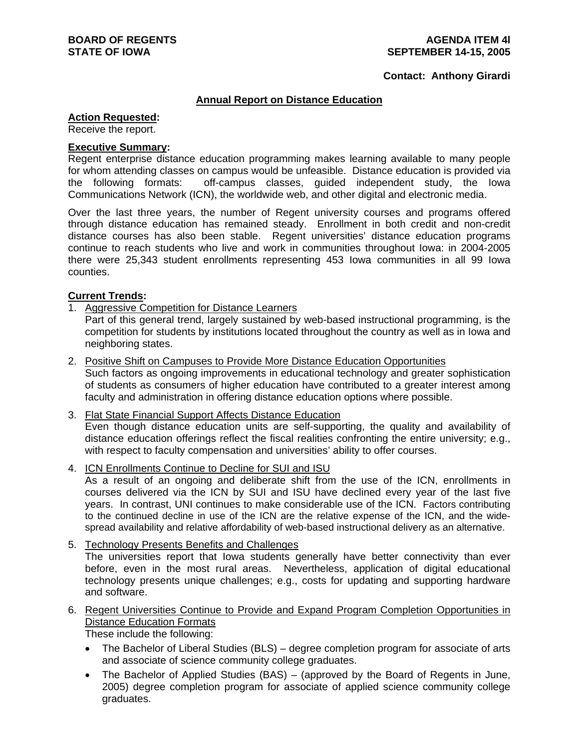#### **Contact: Anthony Girardi**

### **Annual Report on Distance Education**

#### **Action Requested:**

Receive the report.

### **Executive Summary:**

Regent enterprise distance education programming makes learning available to many people for whom attending classes on campus would be unfeasible. Distance education is provided via the following formats: off-campus classes, guided independent study, the Iowa Communications Network (ICN), the worldwide web, and other digital and electronic media.

Over the last three years, the number of Regent university courses and programs offered through distance education has remained steady. Enrollment in both credit and non-credit distance courses has also been stable. Regent universities' distance education programs continue to reach students who live and work in communities throughout Iowa: in 2004-2005 there were 25,343 student enrollments representing 453 Iowa communities in all 99 Iowa counties.

# **Current Trends:**

### 1. Aggressive Competition for Distance Learners

Part of this general trend, largely sustained by web-based instructional programming, is the competition for students by institutions located throughout the country as well as in Iowa and neighboring states.

2. Positive Shift on Campuses to Provide More Distance Education Opportunities

Such factors as ongoing improvements in educational technology and greater sophistication of students as consumers of higher education have contributed to a greater interest among faculty and administration in offering distance education options where possible.

- 3. Flat State Financial Support Affects Distance Education Even though distance education units are self-supporting, the quality and availability of distance education offerings reflect the fiscal realities confronting the entire university; e.g., with respect to faculty compensation and universities' ability to offer courses.
- 4. ICN Enrollments Continue to Decline for SUI and ISU

As a result of an ongoing and deliberate shift from the use of the ICN, enrollments in courses delivered via the ICN by SUI and ISU have declined every year of the last five years. In contrast, UNI continues to make considerable use of the ICN. Factors contributing to the continued decline in use of the ICN are the relative expense of the ICN, and the widespread availability and relative affordability of web-based instructional delivery as an alternative.

5. Technology Presents Benefits and Challenges

The universities report that Iowa students generally have better connectivity than ever before, even in the most rural areas. Nevertheless, application of digital educational technology presents unique challenges; e.g., costs for updating and supporting hardware and software.

6. Regent Universities Continue to Provide and Expand Program Completion Opportunities in Distance Education Formats

These include the following:

- The Bachelor of Liberal Studies (BLS) degree completion program for associate of arts and associate of science community college graduates.
- The Bachelor of Applied Studies (BAS) (approved by the Board of Regents in June, 2005) degree completion program for associate of applied science community college graduates.